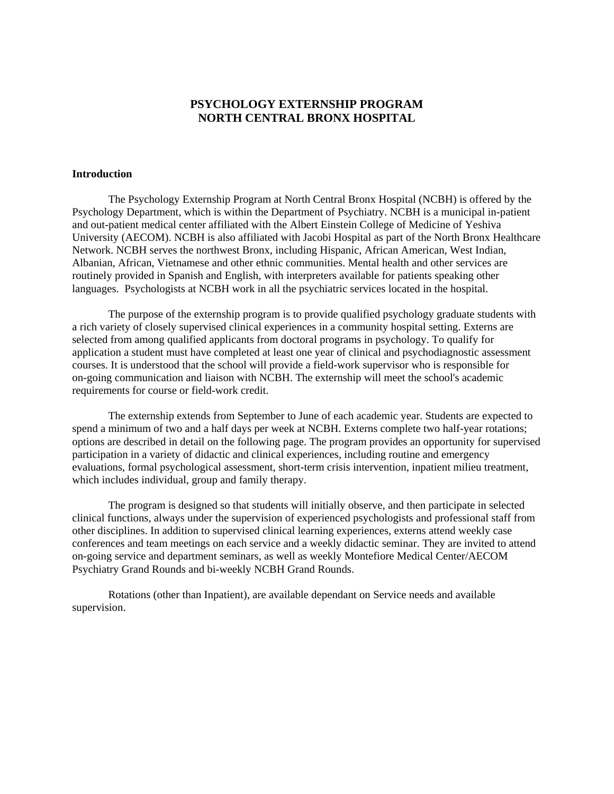## **PSYCHOLOGY EXTERNSHIP PROGRAM NORTH CENTRAL BRONX HOSPITAL**

### **Introduction**

The Psychology Externship Program at North Central Bronx Hospital (NCBH) is offered by the Psychology Department, which is within the Department of Psychiatry. NCBH is a municipal in-patient and out-patient medical center affiliated with the Albert Einstein College of Medicine of Yeshiva University (AECOM). NCBH is also affiliated with Jacobi Hospital as part of the North Bronx Healthcare Network. NCBH serves the northwest Bronx, including Hispanic, African American, West Indian, Albanian, African, Vietnamese and other ethnic communities. Mental health and other services are routinely provided in Spanish and English, with interpreters available for patients speaking other languages. Psychologists at NCBH work in all the psychiatric services located in the hospital.

The purpose of the externship program is to provide qualified psychology graduate students with a rich variety of closely supervised clinical experiences in a community hospital setting. Externs are selected from among qualified applicants from doctoral programs in psychology. To qualify for application a student must have completed at least one year of clinical and psychodiagnostic assessment courses. It is understood that the school will provide a field-work supervisor who is responsible for on-going communication and liaison with NCBH. The externship will meet the school's academic requirements for course or field-work credit.

The externship extends from September to June of each academic year. Students are expected to spend a minimum of two and a half days per week at NCBH. Externs complete two half-year rotations; options are described in detail on the following page. The program provides an opportunity for supervised participation in a variety of didactic and clinical experiences, including routine and emergency evaluations, formal psychological assessment, short-term crisis intervention, inpatient milieu treatment, which includes individual, group and family therapy.

The program is designed so that students will initially observe, and then participate in selected clinical functions, always under the supervision of experienced psychologists and professional staff from other disciplines. In addition to supervised clinical learning experiences, externs attend weekly case conferences and team meetings on each service and a weekly didactic seminar. They are invited to attend on-going service and department seminars, as well as weekly Montefiore Medical Center/AECOM Psychiatry Grand Rounds and bi-weekly NCBH Grand Rounds.

Rotations (other than Inpatient), are available dependant on Service needs and available supervision.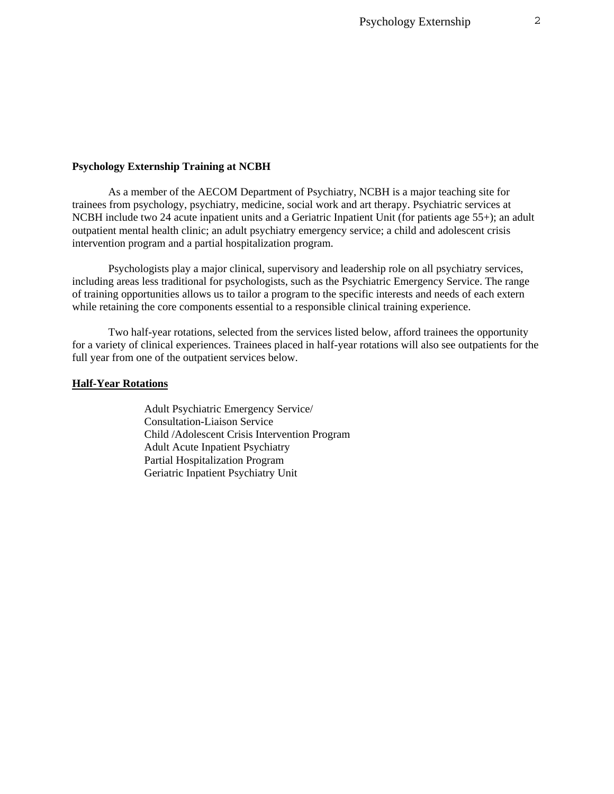#### **Psychology Externship Training at NCBH**

As a member of the AECOM Department of Psychiatry, NCBH is a major teaching site for trainees from psychology, psychiatry, medicine, social work and art therapy. Psychiatric services at NCBH include two 24 acute inpatient units and a Geriatric Inpatient Unit (for patients age 55+); an adult outpatient mental health clinic; an adult psychiatry emergency service; a child and adolescent crisis intervention program and a partial hospitalization program.

Psychologists play a major clinical, supervisory and leadership role on all psychiatry services, including areas less traditional for psychologists, such as the Psychiatric Emergency Service. The range of training opportunities allows us to tailor a program to the specific interests and needs of each extern while retaining the core components essential to a responsible clinical training experience.

Two half-year rotations, selected from the services listed below, afford trainees the opportunity for a variety of clinical experiences. Trainees placed in half-year rotations will also see outpatients for the full year from one of the outpatient services below.

### **Half-Year Rotations**

Adult Psychiatric Emergency Service/ Consultation-Liaison Service Child /Adolescent Crisis Intervention Program Adult Acute Inpatient Psychiatry Partial Hospitalization Program Geriatric Inpatient Psychiatry Unit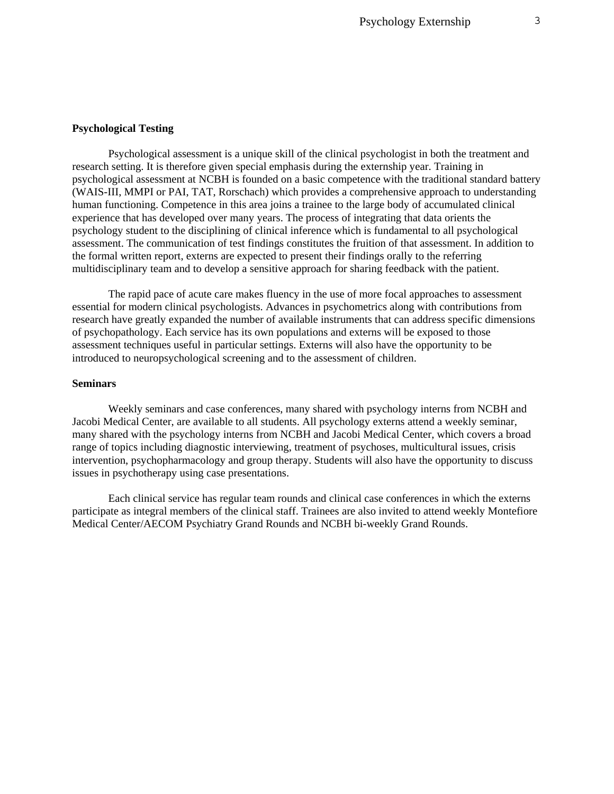#### **Psychological Testing**

Psychological assessment is a unique skill of the clinical psychologist in both the treatment and research setting. It is therefore given special emphasis during the externship year. Training in psychological assessment at NCBH is founded on a basic competence with the traditional standard battery (WAIS-III, MMPI or PAI, TAT, Rorschach) which provides a comprehensive approach to understanding human functioning. Competence in this area joins a trainee to the large body of accumulated clinical experience that has developed over many years. The process of integrating that data orients the psychology student to the disciplining of clinical inference which is fundamental to all psychological assessment. The communication of test findings constitutes the fruition of that assessment. In addition to the formal written report, externs are expected to present their findings orally to the referring multidisciplinary team and to develop a sensitive approach for sharing feedback with the patient.

The rapid pace of acute care makes fluency in the use of more focal approaches to assessment essential for modern clinical psychologists. Advances in psychometrics along with contributions from research have greatly expanded the number of available instruments that can address specific dimensions of psychopathology. Each service has its own populations and externs will be exposed to those assessment techniques useful in particular settings. Externs will also have the opportunity to be introduced to neuropsychological screening and to the assessment of children.

### **Seminars**

Weekly seminars and case conferences, many shared with psychology interns from NCBH and Jacobi Medical Center, are available to all students. All psychology externs attend a weekly seminar, many shared with the psychology interns from NCBH and Jacobi Medical Center, which covers a broad range of topics including diagnostic interviewing, treatment of psychoses, multicultural issues, crisis intervention, psychopharmacology and group therapy. Students will also have the opportunity to discuss issues in psychotherapy using case presentations.

Each clinical service has regular team rounds and clinical case conferences in which the externs participate as integral members of the clinical staff. Trainees are also invited to attend weekly Montefiore Medical Center/AECOM Psychiatry Grand Rounds and NCBH bi-weekly Grand Rounds.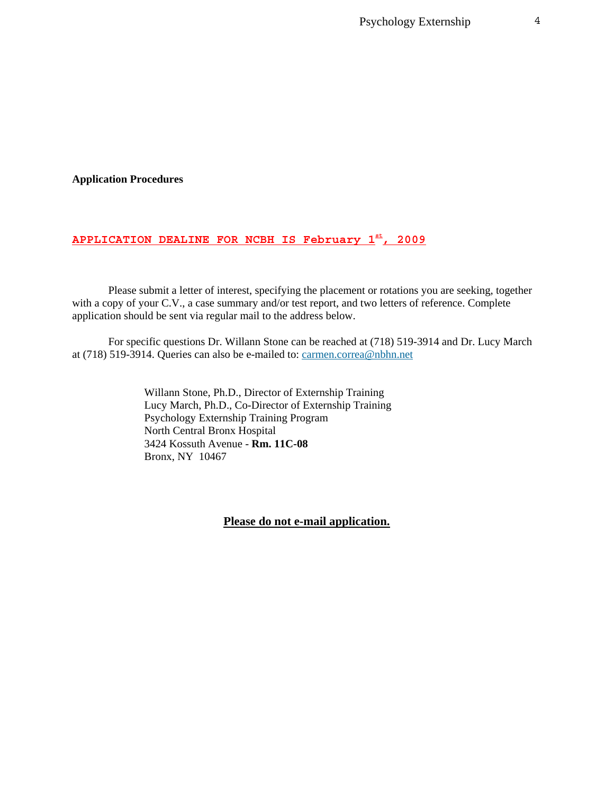Psychology Externship 4

### **Application Procedures**

# **APPLICATION DEALINE FOR NCBH IS February 1st, 2009**

Please submit a letter of interest, specifying the placement or rotations you are seeking, together with a copy of your C.V., a case summary and/or test report, and two letters of reference. Complete application should be sent via regular mail to the address below.

For specific questions Dr. Willann Stone can be reached at (718) 519-3914 and Dr. Lucy March at (718) 519-3914. Queries can also be e-mailed to: [carmen.correa@nbhn.net](mailto:carmen.correa@nbhn.net)

> Willann Stone, Ph.D., Director of Externship Training Lucy March, Ph.D., Co-Director of Externship Training Psychology Externship Training Program North Central Bronx Hospital 3424 Kossuth Avenue - **Rm. 11C-08**  Bronx, NY 10467

> > **Please do not e-mail application.**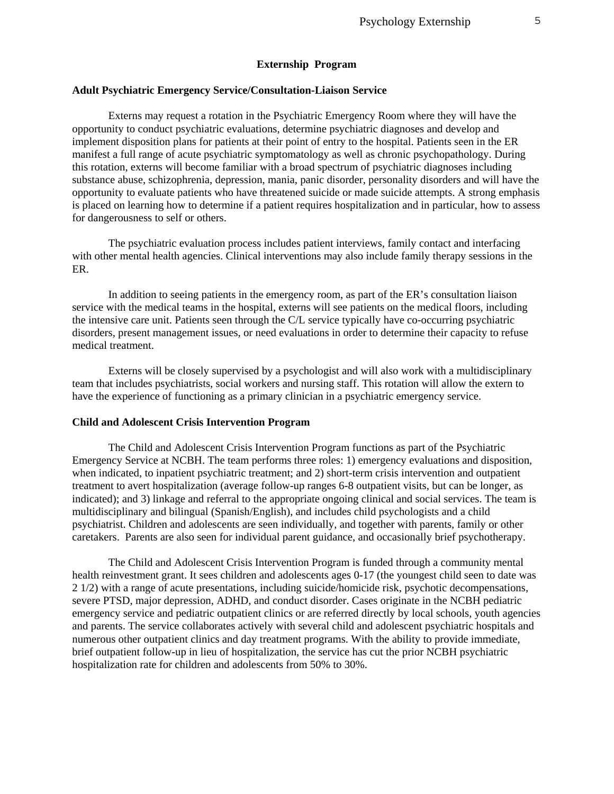### **Externship Program**

#### **Adult Psychiatric Emergency Service/Consultation-Liaison Service**

Externs may request a rotation in the Psychiatric Emergency Room where they will have the opportunity to conduct psychiatric evaluations, determine psychiatric diagnoses and develop and implement disposition plans for patients at their point of entry to the hospital. Patients seen in the ER manifest a full range of acute psychiatric symptomatology as well as chronic psychopathology. During this rotation, externs will become familiar with a broad spectrum of psychiatric diagnoses including substance abuse, schizophrenia, depression, mania, panic disorder, personality disorders and will have the opportunity to evaluate patients who have threatened suicide or made suicide attempts. A strong emphasis is placed on learning how to determine if a patient requires hospitalization and in particular, how to assess for dangerousness to self or others.

The psychiatric evaluation process includes patient interviews, family contact and interfacing with other mental health agencies. Clinical interventions may also include family therapy sessions in the ER.

In addition to seeing patients in the emergency room, as part of the ER's consultation liaison service with the medical teams in the hospital, externs will see patients on the medical floors, including the intensive care unit. Patients seen through the C/L service typically have co-occurring psychiatric disorders, present management issues, or need evaluations in order to determine their capacity to refuse medical treatment.

Externs will be closely supervised by a psychologist and will also work with a multidisciplinary team that includes psychiatrists, social workers and nursing staff. This rotation will allow the extern to have the experience of functioning as a primary clinician in a psychiatric emergency service.

### **Child and Adolescent Crisis Intervention Program**

The Child and Adolescent Crisis Intervention Program functions as part of the Psychiatric Emergency Service at NCBH. The team performs three roles: 1) emergency evaluations and disposition, when indicated, to inpatient psychiatric treatment; and 2) short-term crisis intervention and outpatient treatment to avert hospitalization (average follow-up ranges 6-8 outpatient visits, but can be longer, as indicated); and 3) linkage and referral to the appropriate ongoing clinical and social services. The team is multidisciplinary and bilingual (Spanish/English), and includes child psychologists and a child psychiatrist. Children and adolescents are seen individually, and together with parents, family or other caretakers. Parents are also seen for individual parent guidance, and occasionally brief psychotherapy.

The Child and Adolescent Crisis Intervention Program is funded through a community mental health reinvestment grant. It sees children and adolescents ages 0-17 (the youngest child seen to date was 2 1/2) with a range of acute presentations, including suicide/homicide risk, psychotic decompensations, severe PTSD, major depression, ADHD, and conduct disorder. Cases originate in the NCBH pediatric emergency service and pediatric outpatient clinics or are referred directly by local schools, youth agencies and parents. The service collaborates actively with several child and adolescent psychiatric hospitals and numerous other outpatient clinics and day treatment programs. With the ability to provide immediate, brief outpatient follow-up in lieu of hospitalization, the service has cut the prior NCBH psychiatric hospitalization rate for children and adolescents from 50% to 30%.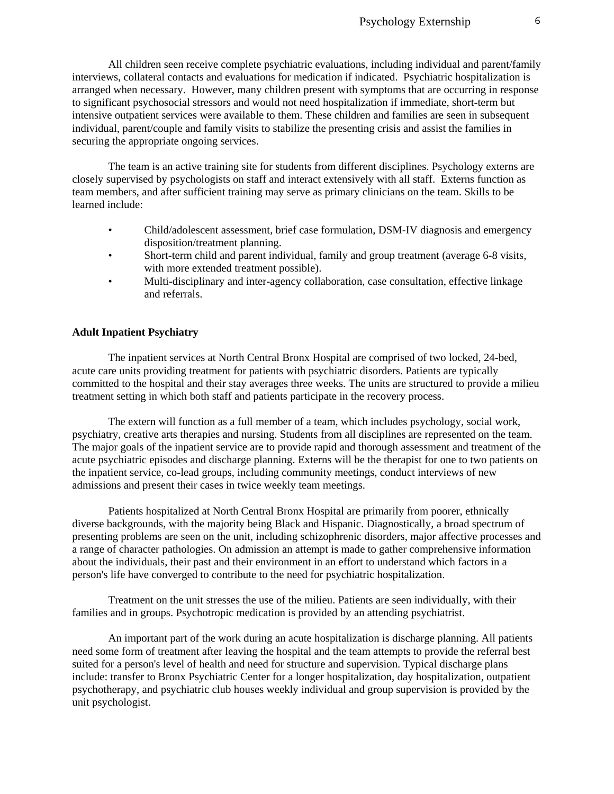All children seen receive complete psychiatric evaluations, including individual and parent/family interviews, collateral contacts and evaluations for medication if indicated. Psychiatric hospitalization is arranged when necessary. However, many children present with symptoms that are occurring in response to significant psychosocial stressors and would not need hospitalization if immediate, short-term but intensive outpatient services were available to them. These children and families are seen in subsequent individual, parent/couple and family visits to stabilize the presenting crisis and assist the families in securing the appropriate ongoing services.

The team is an active training site for students from different disciplines. Psychology externs are closely supervised by psychologists on staff and interact extensively with all staff. Externs function as team members, and after sufficient training may serve as primary clinicians on the team. Skills to be learned include:

- Child/adolescent assessment, brief case formulation, DSM-IV diagnosis and emergency disposition/treatment planning.
- Short-term child and parent individual, family and group treatment (average 6-8 visits, with more extended treatment possible).
- Multi-disciplinary and inter-agency collaboration, case consultation, effective linkage and referrals.

### **Adult Inpatient Psychiatry**

The inpatient services at North Central Bronx Hospital are comprised of two locked, 24-bed, acute care units providing treatment for patients with psychiatric disorders. Patients are typically committed to the hospital and their stay averages three weeks. The units are structured to provide a milieu treatment setting in which both staff and patients participate in the recovery process.

The extern will function as a full member of a team, which includes psychology, social work, psychiatry, creative arts therapies and nursing. Students from all disciplines are represented on the team. The major goals of the inpatient service are to provide rapid and thorough assessment and treatment of the acute psychiatric episodes and discharge planning. Externs will be the therapist for one to two patients on the inpatient service, co-lead groups, including community meetings, conduct interviews of new admissions and present their cases in twice weekly team meetings.

Patients hospitalized at North Central Bronx Hospital are primarily from poorer, ethnically diverse backgrounds, with the majority being Black and Hispanic. Diagnostically, a broad spectrum of presenting problems are seen on the unit, including schizophrenic disorders, major affective processes and a range of character pathologies. On admission an attempt is made to gather comprehensive information about the individuals, their past and their environment in an effort to understand which factors in a person's life have converged to contribute to the need for psychiatric hospitalization.

Treatment on the unit stresses the use of the milieu. Patients are seen individually, with their families and in groups. Psychotropic medication is provided by an attending psychiatrist.

An important part of the work during an acute hospitalization is discharge planning. All patients need some form of treatment after leaving the hospital and the team attempts to provide the referral best suited for a person's level of health and need for structure and supervision. Typical discharge plans include: transfer to Bronx Psychiatric Center for a longer hospitalization, day hospitalization, outpatient psychotherapy, and psychiatric club houses weekly individual and group supervision is provided by the unit psychologist.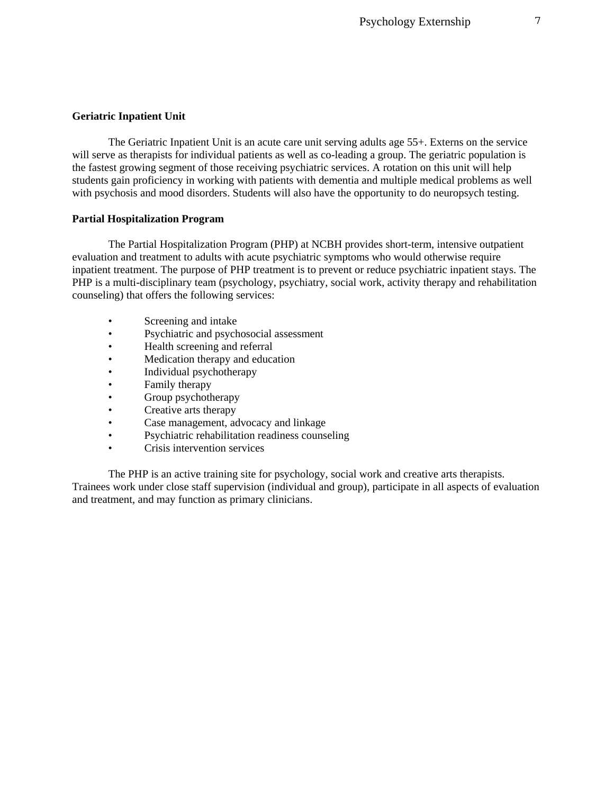### **Geriatric Inpatient Unit**

The Geriatric Inpatient Unit is an acute care unit serving adults age 55+. Externs on the service will serve as therapists for individual patients as well as co-leading a group. The geriatric population is the fastest growing segment of those receiving psychiatric services. A rotation on this unit will help students gain proficiency in working with patients with dementia and multiple medical problems as well with psychosis and mood disorders. Students will also have the opportunity to do neuropsych testing.

### **Partial Hospitalization Program**

The Partial Hospitalization Program (PHP) at NCBH provides short-term, intensive outpatient evaluation and treatment to adults with acute psychiatric symptoms who would otherwise require inpatient treatment. The purpose of PHP treatment is to prevent or reduce psychiatric inpatient stays. The PHP is a multi-disciplinary team (psychology, psychiatry, social work, activity therapy and rehabilitation counseling) that offers the following services:

- Screening and intake
- Psychiatric and psychosocial assessment
- Health screening and referral
- Medication therapy and education
- Individual psychotherapy
- Family therapy
- Group psychotherapy
- Creative arts therapy
- Case management, advocacy and linkage
- Psychiatric rehabilitation readiness counseling
- Crisis intervention services

The PHP is an active training site for psychology, social work and creative arts therapists. Trainees work under close staff supervision (individual and group), participate in all aspects of evaluation and treatment, and may function as primary clinicians.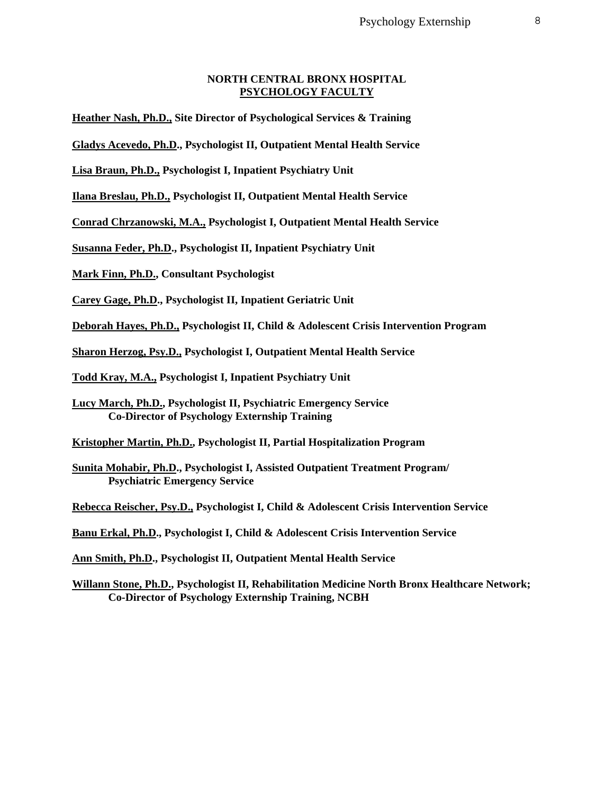### **NORTH CENTRAL BRONX HOSPITAL PSYCHOLOGY FACULTY**

**Heather Nash, Ph.D., Site Director of Psychological Services & Training** 

**Gladys Acevedo, Ph.D., Psychologist II, Outpatient Mental Health Service** 

**Lisa Braun, Ph.D., Psychologist I, Inpatient Psychiatry Unit** 

**Ilana Breslau, Ph.D., Psychologist II, Outpatient Mental Health Service** 

**Conrad Chrzanowski, M.A., Psychologist I, Outpatient Mental Health Service** 

**Susanna Feder, Ph.D., Psychologist II, Inpatient Psychiatry Unit** 

**Mark Finn, Ph.D., Consultant Psychologist** 

**Carey Gage, Ph.D., Psychologist II, Inpatient Geriatric Unit** 

**Deborah Hayes, Ph.D., Psychologist II, Child & Adolescent Crisis Intervention Program** 

**Sharon Herzog, Psy.D., Psychologist I, Outpatient Mental Health Service** 

**Todd Kray, M.A., Psychologist I, Inpatient Psychiatry Unit** 

**Lucy March, Ph.D., Psychologist II, Psychiatric Emergency Service Co-Director of Psychology Externship Training** 

**Kristopher Martin, Ph.D., Psychologist II, Partial Hospitalization Program** 

**Sunita Mohabir, Ph.D., Psychologist I, Assisted Outpatient Treatment Program/ Psychiatric Emergency Service** 

**Rebecca Reischer, Psy.D., Psychologist I, Child & Adolescent Crisis Intervention Service** 

**Banu Erkal, Ph.D., Psychologist I, Child & Adolescent Crisis Intervention Service** 

**Ann Smith, Ph.D., Psychologist II, Outpatient Mental Health Service** 

**Willann Stone, Ph.D., Psychologist II, Rehabilitation Medicine North Bronx Healthcare Network; Co-Director of Psychology Externship Training, NCBH**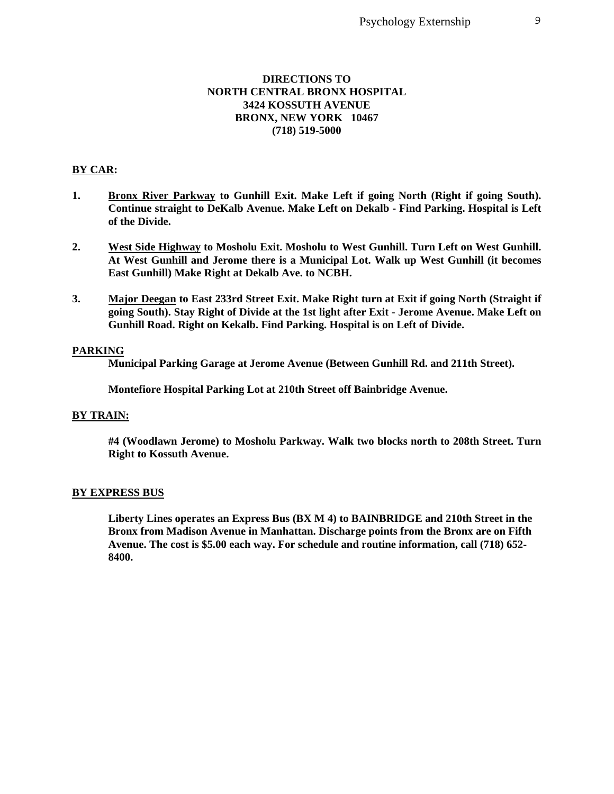### **DIRECTIONS TO NORTH CENTRAL BRONX HOSPITAL 3424 KOSSUTH AVENUE BRONX, NEW YORK 10467 (718) 519-5000**

### **BY CAR:**

- **1. Bronx River Parkway to Gunhill Exit. Make Left if going North (Right if going South). Continue straight to DeKalb Avenue. Make Left on Dekalb - Find Parking. Hospital is Left of the Divide.**
- **2. West Side Highway to Mosholu Exit. Mosholu to West Gunhill. Turn Left on West Gunhill. At West Gunhill and Jerome there is a Municipal Lot. Walk up West Gunhill (it becomes East Gunhill) Make Right at Dekalb Ave. to NCBH.**
- **3. Major Deegan to East 233rd Street Exit. Make Right turn at Exit if going North (Straight if going South). Stay Right of Divide at the 1st light after Exit - Jerome Avenue. Make Left on Gunhill Road. Right on Kekalb. Find Parking. Hospital is on Left of Divide.**

#### **PARKING**

**Municipal Parking Garage at Jerome Avenue (Between Gunhill Rd. and 211th Street).** 

**Montefiore Hospital Parking Lot at 210th Street off Bainbridge Avenue.** 

### **BY TRAIN:**

**#4 (Woodlawn Jerome) to Mosholu Parkway. Walk two blocks north to 208th Street. Turn Right to Kossuth Avenue.** 

#### **BY EXPRESS BUS**

**Liberty Lines operates an Express Bus (BX M 4) to BAINBRIDGE and 210th Street in the Bronx from Madison Avenue in Manhattan. Discharge points from the Bronx are on Fifth Avenue. The cost is \$5.00 each way. For schedule and routine information, call (718) 652- 8400.**